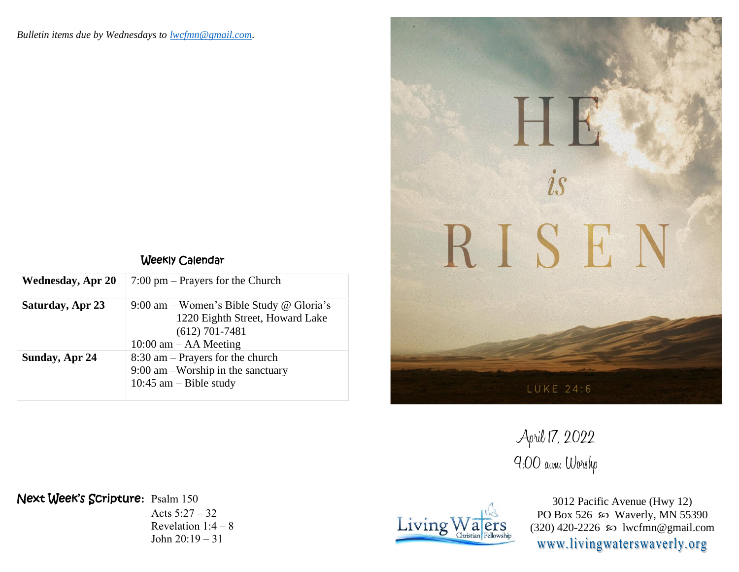| Weekly Calendar |
|-----------------|
|                 |

| <b>Wednesday, Apr 20</b> | $7:00 \text{ pm}$ – Prayers for the Church                                                                                   |
|--------------------------|------------------------------------------------------------------------------------------------------------------------------|
| Saturday, Apr 23         | 9:00 am – Women's Bible Study @ Gloria's<br>1220 Eighth Street, Howard Lake<br>$(612)$ 701-7481<br>$10:00$ am $-$ AA Meeting |
| Sunday, Apr 24           | $8:30$ am – Prayers for the church<br>9:00 am –Worship in the sanctuary<br>10:45 am $-$ Bible study                          |



April 17, 2022 9:00 a.m. Worshp

Next Week's Scripture**:** Psalm 150

Acts 5:27 – 32 Revelation 1:4 – 8 John 20:19 – 31



3012 Pacific Avenue (Hwy 12) PO Box 526  $\wp$  Waverly, MN 55390 (320) 420-2226  $\omega$  lwcfmn@gmail.com www.livingwaterswaverly.org